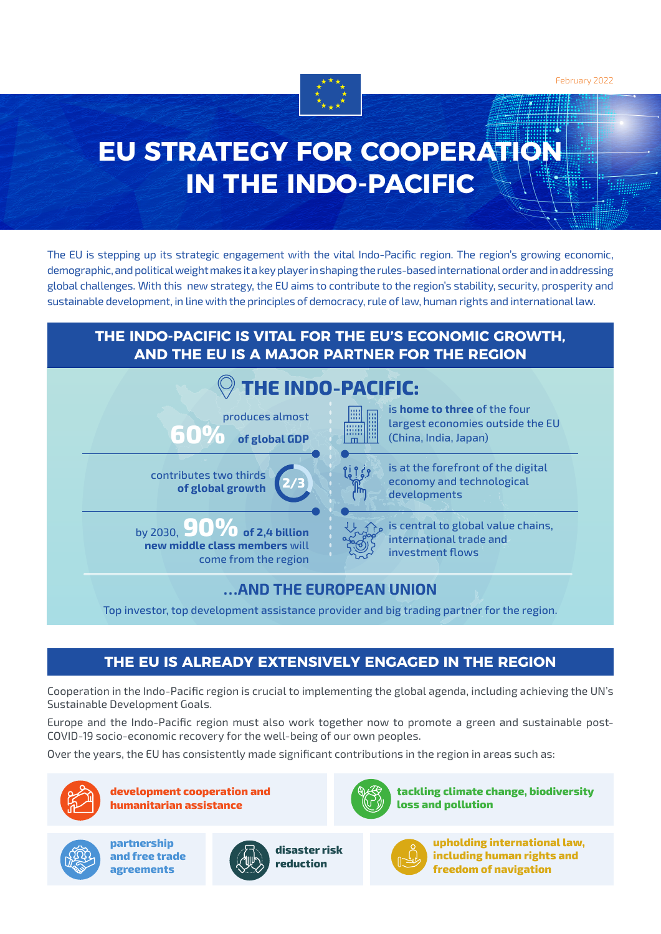February 2022



# **EU STRATEGY FOR COOPERATION IN THE INDO-PACIFIC**

The EU is stepping up its strategic engagement with the vital Indo-Pacific region. The region's growing economic, demographic, and political weight makes it a key player in shaping the rules-based international order and in addressing global challenges. With this new strategy, the EU aims to contribute to the region's stability, security, prosperity and sustainable development, in line with the principles of democracy, rule of law, human rights and international law.

## **THE INDO-PACIFIC IS VITAL FOR THE EU'S ECONOMIC GROWTH, AND THE EU IS A MAJOR PARTNER FOR THE REGION**



# **…AND THE EUROPEAN UNION**

Top investor, top development assistance provider and big trading partner for the region.

# **THE EU IS ALREADY EXTENSIVELY ENGAGED IN THE REGION**

Cooperation in the Indo-Pacific region is crucial to implementing the global agenda, including achieving the UN's Sustainable Development Goals.

Europe and the Indo-Pacific region must also work together now to promote a green and sustainable post-COVID-19 socio-economic recovery for the well-being of our own peoples.

Over the years, the EU has consistently made significant contributions in the region in areas such as:



**development cooperation and humanitarian assistance**



**tackling climate change, biodiversity loss and pollution**



**partnership and free trade agreements**



**disaster risk reduction**



**upholding international law, including human rights and freedom of navigation**